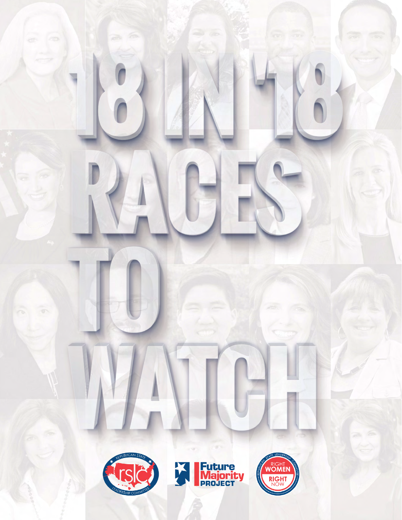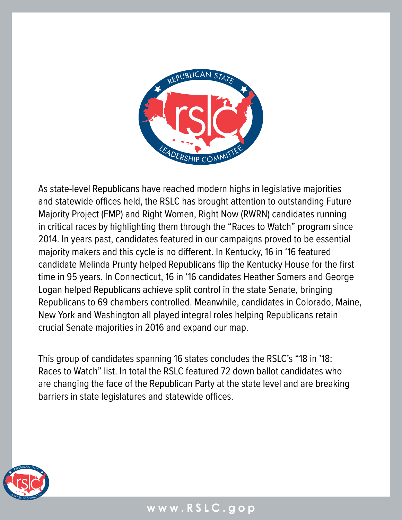

As state-level Republicans have reached modern highs in legislative majorities and statewide offices held, the RSLC has brought attention to outstanding Future Majority Project (FMP) and Right Women, Right Now (RWRN) candidates running in critical races by highlighting them through the "Races to Watch" program since 2014. In years past, candidates featured in our campaigns proved to be essential majority makers and this cycle is no different. In Kentucky, 16 in '16 featured candidate Melinda Prunty helped Republicans flip the Kentucky House for the first time in 95 years. In Connecticut, 16 in '16 candidates Heather Somers and George Logan helped Republicans achieve split control in the state Senate, bringing Republicans to 69 chambers controlled. Meanwhile, candidates in Colorado, Maine, New York and Washington all played integral roles helping Republicans retain crucial Senate majorities in 2016 and expand our map.

This group of candidates spanning 16 states concludes the RSLC's "18 in '18: Races to Watch" list. In total the RSLC featured 72 down ballot candidates who are changing the face of the Republican Party at the state level and are breaking barriers in state legislatures and statewide offices.

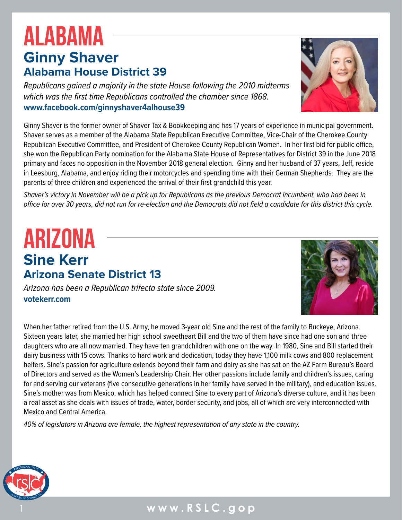### 1 **www.RSLC.gop**

## **Ginny Shaver Alabama House District 39** ALABAMA

*Republicans gained a majority in the state House following the 2010 midterms which was the first time Republicans controlled the chamber since 1868.* **<www.facebook.com/ginnyshaver4alhouse39>**

Ginny Shaver is the former owner of Shaver Tax & Bookkeeping and has 17 years of experience in municipal government. Shaver serves as a member of the Alabama State Republican Executive Committee, Vice-Chair of the Cherokee County Republican Executive Committee, and President of Cherokee County Republican Women. In her first bid for public office, she won the Republican Party nomination for the Alabama State House of Representatives for District 39 in the June 2018 primary and faces no opposition in the November 2018 general election. Ginny and her husband of 37 years, Jeff, reside in Leesburg, Alabama, and enjoy riding their motorcycles and spending time with their German Shepherds. They are the parents of three children and experienced the arrival of their first grandchild this year.

*Shaver's victory in November will be a pick up for Republicans as the previous Democrat incumbent, who had been in office for over 30 years, did not run for re-election and the Democrats did not field a candidate for this district this cycle.*

### **Sine Kerr Arizona Senate District 13** ARIZONA

*Arizona has been a Republican trifecta state since 2009.*  **<votekerr.com>**

When her father retired from the U.S. Army, he moved 3-year old Sine and the rest of the family to Buckeye, Arizona. Sixteen years later, she married her high school sweetheart Bill and the two of them have since had one son and three daughters who are all now married. They have ten grandchildren with one on the way. In 1980, Sine and Bill started their dairy business with 15 cows. Thanks to hard work and dedication, today they have 1,100 milk cows and 800 replacement heifers. Sine's passion for agriculture extends beyond their farm and dairy as she has sat on the AZ Farm Bureau's Board of Directors and served as the Women's Leadership Chair. Her other passions include family and children's issues, caring for and serving our veterans (five consecutive generations in her family have served in the military), and education issues. Sine's mother was from Mexico, which has helped connect Sine to every part of Arizona's diverse culture, and it has been a real asset as she deals with issues of trade, water, border security, and jobs, all of which are very interconnected with Mexico and Central America.

*40% of legislators in Arizona are female, the highest representation of any state in the country.* 





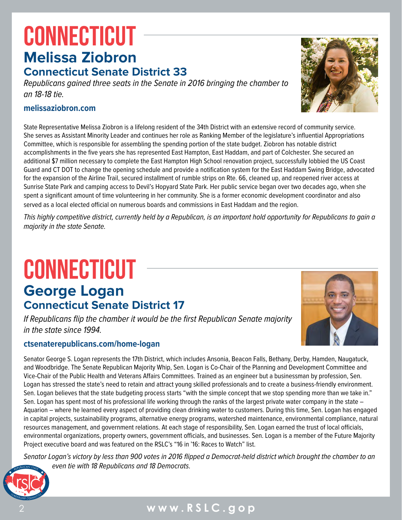# **Melissa Ziobron CONNECTICUT**

### **Connecticut Senate District 33**

*Republicans gained three seats in the Senate in 2016 bringing the chamber to an 18-18 tie.*

#### **[melissaziobron.com](http://melissaziobron.com/)**

State Representative Melissa Ziobron is a lifelong resident of the 34th District with an extensive record of community service. She serves as Assistant Minority Leader and continues her role as Ranking Member of the legislature's influential Appropriations Committee, which is responsible for assembling the spending portion of the state budget. Ziobron has notable district accomplishments in the five years she has represented East Hampton, East Haddam, and part of Colchester. She secured an additional \$7 million necessary to complete the East Hampton High School renovation project, successfully lobbied the US Coast Guard and CT DOT to change the opening schedule and provide a notification system for the East Haddam Swing Bridge, advocated for the expansion of the Airline Trail, secured installment of rumble strips on Rte. 66, cleaned up, and reopened river access at Sunrise State Park and camping access to Devil's Hopyard State Park. Her public service began over two decades ago, when she spent a significant amount of time volunteering in her community. She is a former economic development coordinator and also served as a local elected official on numerous boards and commissions in East Haddam and the region.

*This highly competitive district, currently held by a Republican, is an important hold opportunity for Republicans to gain a majority in the state Senate.*

# **George Logan CONNECTICUT**

# **Connecticut Senate District 17**

*If Republicans flip the chamber it would be the first Republican Senate majority in the state since 1994.*

#### **<ctsenaterepublicans.com/home-logan>**

Senator George S. Logan represents the 17th District, which includes Ansonia, Beacon Falls, Bethany, Derby, Hamden, Naugatuck, and Woodbridge. The Senate Republican Majority Whip, Sen. Logan is Co-Chair of the Planning and Development Committee and Vice-Chair of the Public Health and Veterans Affairs Committees. Trained as an engineer but a businessman by profession, Sen. Logan has stressed the state's need to retain and attract young skilled professionals and to create a business-friendly environment. Sen. Logan believes that the state budgeting process starts "with the simple concept that we stop spending more than we take in." Sen. Logan has spent most of his professional life working through the ranks of the largest private water company in the state – Aquarion – where he learned every aspect of providing clean drinking water to customers. During this time, Sen. Logan has engaged in capital projects, sustainability programs, alternative energy programs, watershed maintenance, environmental compliance, natural resources management, and government relations. At each stage of responsibility, Sen. Logan earned the trust of local officials, environmental organizations, property owners, government officials, and businesses. Sen. Logan is a member of the Future Majority Project executive board and was featured on the RSLC's "16 in '16: Races to Watch" list.

*Senator Logan's victory by less than 900 votes in 2016 flipped a Democrat-held district which brought the chamber to an even tie with 18 Republicans and 18 Democrats.*





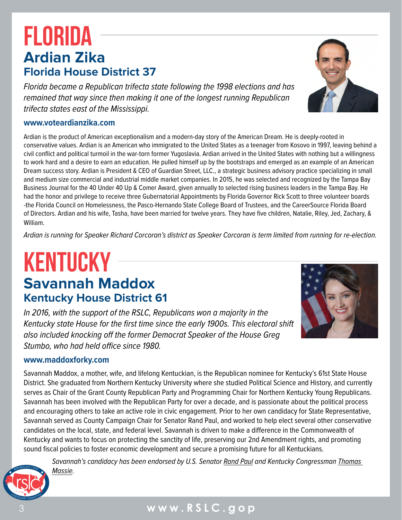# **Ardian Zika Florida House District 37** FLORIDA

*Florida became a Republican trifecta state following the 1998 elections and has remained that way since then making it one of the longest running Republican trifecta states east of the Mississippi.*

#### **[www.voteardianzika.com](https://www.voteardianzika.com/)**

Ardian is the product of American exceptionalism and a modern-day story of the American Dream. He is deeply-rooted in conservative values. Ardian is an American who immigrated to the United States as a teenager from Kosovo in 1997, leaving behind a civil conflict and political turmoil in the war-torn former Yugoslavia. Ardian arrived in the United States with nothing but a willingness to work hard and a desire to earn an education. He pulled himself up by the bootstraps and emerged as an example of an American Dream success story. Ardian is President & CEO of Guardian Street, LLC., a strategic business advisory practice specializing in small and medium size commercial and industrial middle market companies. In 2015, he was selected and recognized by the Tampa Bay Business Journal for the 40 Under 40 Up & Comer Award, given annually to selected rising business leaders in the Tampa Bay. He had the honor and privilege to receive three Gubernatorial Appointments by Florida Governor Rick Scott to three volunteer boards -the Florida Council on Homelessness, the Pasco-Hernando State College Board of Trustees, and the CareerSource Florida Board of Directors. Ardian and his wife, Tasha, have been married for twelve years. They have five children, Natalie, Riley, Jed, Zachary, & William.

*Ardian is running for Speaker Richard Corcoran's district as Speaker Corcoran is term limited from running for re-election.* 

## **Savannah Maddox Kentucky House District 61** KENTUCKY

*In 2016, with the support of the RSLC, Republicans won a majority in the Kentucky state House for the first time since the early 1900s. This electoral shift also included knocking off the former Democrat Speaker of the House Greg Stumbo, who had held office since 1980.*

#### **[www.maddoxforky.com](https://www.maddoxforky.com/home)**

Savannah Maddox, a mother, wife, and lifelong Kentuckian, is the Republican nominee for Kentucky's 61st State House District. She graduated from Northern Kentucky University where she studied Political Science and History, and currently serves as Chair of the Grant County Republican Party and Programming Chair for Northern Kentucky Young Republicans. Savannah has been involved with the Republican Party for over a decade, and is passionate about the political process and encouraging others to take an active role in civic engagement. Prior to her own candidacy for State Representative, Savannah served as County Campaign Chair for Senator Rand Paul, and worked to help elect several other conservative candidates on the local, state, and federal level. Savannah is driven to make a difference in the Commonwealth of Kentucky and wants to focus on protecting the sanctity of life, preserving our 2nd Amendment rights, and promoting sound fiscal policies to foster economic development and secure a promising future for all Kentuckians.

*Savannah's candidacy has been endorsed by U.S. Senator [Rand Paul](https://twitter.com/SavannahL817/status/1050587911966650368) and Kentucky Congressman [Thomas](https://twitter.com/SavannahL817/status/1047536145171660800)  [Massie.](https://twitter.com/SavannahL817/status/1047536145171660800)*





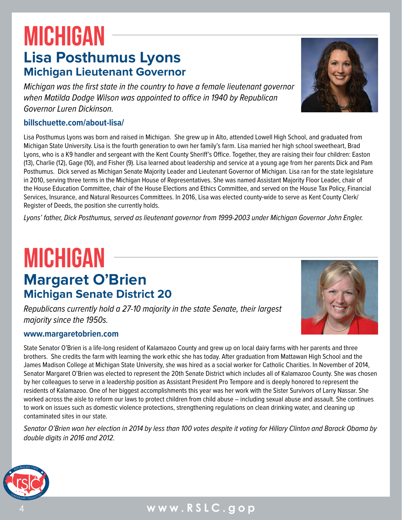## **Lisa Posthumus Lyons Michigan Lieutenant Governor** MICHIGAN

*Michigan was the first state in the country to have a female lieutenant governor when Matilda Dodge Wilson was appointed to office in 1940 by Republican Governor Luren Dickinson.*

#### **[billschuette.com/about-lisa/](https://billschuette.com/about-lisa/)**

Lisa Posthumus Lyons was born and raised in Michigan. She grew up in Alto, attended Lowell High School, and graduated from Michigan State University. Lisa is the fourth generation to own her family's farm. Lisa married her high school sweetheart, Brad Lyons, who is a K9 handler and sergeant with the Kent County Sheriff's Office. Together, they are raising their four children: Easton (13), Charlie (12), Gage (10), and Fisher (9). Lisa learned about leadership and service at a young age from her parents Dick and Pam Posthumus. Dick served as Michigan Senate Majority Leader and Lieutenant Governor of Michigan. Lisa ran for the state legislature in 2010, serving three terms in the Michigan House of Representatives. She was named Assistant Majority Floor Leader, chair of the House Education Committee, chair of the House Elections and Ethics Committee, and served on the House Tax Policy, Financial Services, Insurance, and Natural Resources Committees. In 2016, Lisa was elected county-wide to serve as Kent County Clerk/ Register of Deeds, the position she currently holds.

*Lyons' father, Dick Posthumus, served as lieutenant governor from 1999-2003 under Michigan Governor John Engler.*

# **Margaret O'Brien Michigan Senate District 20** MICHIGAN

*Republicans currently hold a 27-10 majority in the state Senate, their largest majority since the 1950s.* 

#### **[www.margaretobrien.com](https://www.margaretobrien.com/)**

State Senator O'Brien is a life-long resident of Kalamazoo County and grew up on local dairy farms with her parents and three brothers. She credits the farm with learning the work ethic she has today. After graduation from Mattawan High School and the James Madison College at Michigan State University, she was hired as a social worker for Catholic Charities. In November of 2014, Senator Margaret O'Brien was elected to represent the 20th Senate District which includes all of Kalamazoo County. She was chosen by her colleagues to serve in a leadership position as Assistant President Pro Tempore and is deeply honored to represent the residents of Kalamazoo. One of her biggest accomplishments this year was her work with the Sister Survivors of Larry Nassar. She worked across the aisle to reform our laws to protect children from child abuse – including sexual abuse and assault. She continues to work on issues such as domestic violence protections, strengthening regulations on clean drinking water, and cleaning up contaminated sites in our state.

*Senator O'Brien won her election in 2014 by less than 100 votes despite it voting for Hillary Clinton and Barack Obama by double digits in 2016 and 2012.* 





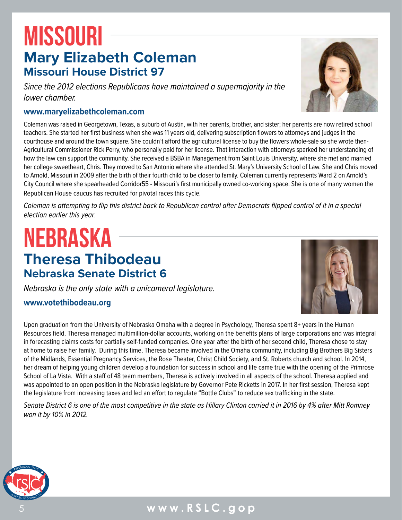# **Mary Elizabeth Coleman Missouri House District 97 MISSOURI**

*Since the 2012 elections Republicans have maintained a supermajority in the lower chamber.*

#### **[www.maryelizabethcoleman.com](https://www.maryelizabethcoleman.com/)**

Coleman was raised in Georgetown, Texas, a suburb of Austin, with her parents, brother, and sister; her parents are now retired school teachers. She started her first business when she was 11 years old, delivering subscription flowers to attorneys and judges in the courthouse and around the town square. She couldn't afford the agricultural license to buy the flowers whole-sale so she wrote then-Agricultural Commissioner Rick Perry, who personally paid for her license. That interaction with attorneys sparked her understanding of how the law can support the community. She received a BSBA in Management from Saint Louis University, where she met and married her college sweetheart, Chris. They moved to San Antonio where she attended St. Mary's University School of Law. She and Chris moved to Arnold, Missouri in 2009 after the birth of their fourth child to be closer to family. Coleman currently represents Ward 2 on Arnold's City Council where she spearheaded Corridor55 - Missouri's first municipally owned co-working space. She is one of many women the Republican House caucus has recruited for pivotal races this cycle.

*Coleman is attempting to flip this district back to Republican control after Democrats flipped control of it in a special election earlier this year.* 

# **Theresa Thibodeau Nebraska Senate District 6** NEBRASKA

*Nebraska is the only state with a unicameral legislature.* 

#### **[www.votethibodeau.org](https://www.votethibodeau.org/)**

Upon graduation from the University of Nebraska Omaha with a degree in Psychology, Theresa spent 8+ years in the Human Resources field. Theresa managed multimillion-dollar accounts, working on the benefits plans of large corporations and was integral in forecasting claims costs for partially self-funded companies. One year after the birth of her second child, Theresa chose to stay at home to raise her family. During this time, Theresa became involved in the Omaha community, including Big Brothers Big Sisters of the Midlands, Essential Pregnancy Services, the Rose Theater, Christ Child Society, and St. Roberts church and school. In 2014, her dream of helping young children develop a foundation for success in school and life came true with the opening of the Primrose School of La Vista. With a staff of 48 team members, Theresa is actively involved in all aspects of the school. Theresa applied and was appointed to an open position in the Nebraska legislature by Governor Pete Ricketts in 2017. In her first session, Theresa kept the legislature from increasing taxes and led an effort to regulate "Bottle Clubs" to reduce sex trafficking in the state.

*Senate District 6 is one of the most competitive in the state as Hillary Clinton carried it in 2016 by 4% after Mitt Romney won it by 10% in 2012.*



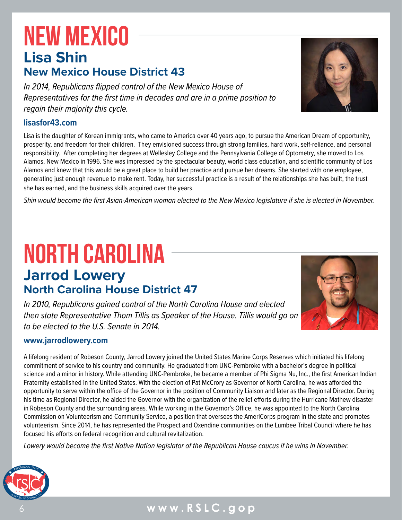# **Lisa Shin New Mexico House District 43** NEW MEXICO

*In 2014, Republicans flipped control of the New Mexico House of Representatives for the first time in decades and are in a prime position to regain their majority this cycle.*

### **[lisasfor43.com](https://lisasfor43.com/)**

Lisa is the daughter of Korean immigrants, who came to America over 40 years ago, to pursue the American Dream of opportunity, prosperity, and freedom for their children. They envisioned success through strong families, hard work, self-reliance, and personal responsibility. After completing her degrees at Wellesley College and the Pennsylvania College of Optometry, she moved to Los Alamos, New Mexico in 1996. She was impressed by the spectacular beauty, world class education, and scientific community of Los Alamos and knew that this would be a great place to build her practice and pursue her dreams. She started with one employee, generating just enough revenue to make rent. Today, her successful practice is a result of the relationships she has built, the trust she has earned, and the business skills acquired over the years.

*Shin would become the first Asian-American woman elected to the New Mexico legislature if she is elected in November.*

# **Jarrod Lowery North Carolina House District 47** NORTH CAROLINA

*In 2010, Republicans gained control of the North Carolina House and elected then state Representative Thom Tillis as Speaker of the House. Tillis would go on to be elected to the U.S. Senate in 2014.*

#### **[www.jarrodlowery.com](https://www.jarrodlowery.com/)**

A lifelong resident of Robeson County, Jarrod Lowery joined the United States Marine Corps Reserves which initiated his lifelong commitment of service to his country and community. He graduated from UNC-Pembroke with a bachelor's degree in political science and a minor in history. While attending UNC-Pembroke, he became a member of Phi Sigma Nu, Inc., the first American Indian Fraternity established in the United States. With the election of Pat McCrory as Governor of North Carolina, he was afforded the opportunity to serve within the office of the Governor in the position of Community Liaison and later as the Regional Director. During his time as Regional Director, he aided the Governor with the organization of the relief efforts during the Hurricane Mathew disaster in Robeson County and the surrounding areas. While working in the Governor's Office, he was appointed to the North Carolina Commission on Volunteerism and Community Service, a position that oversees the AmeriCorps program in the state and promotes volunteerism. Since 2014, he has represented the Prospect and Oxendine communities on the Lumbee Tribal Council where he has focused his efforts on federal recognition and cultural revitalization.

*Lowery would become the first Native Nation legislator of the Republican House caucus if he wins in November.* 





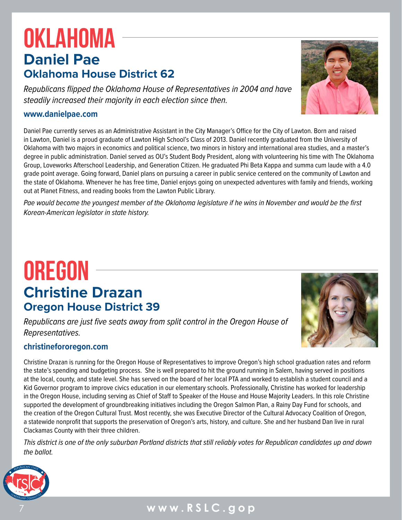# **Daniel Pae Oklahoma House District 62 OKLAHOMA**

*Republicans flipped the Oklahoma House of Representatives in 2004 and have steadily increased their majority in each election since then.* 

#### **[www.danielpae.com](http://www.danielpae.com/)**

Daniel Pae currently serves as an Administrative Assistant in the City Manager's Office for the City of Lawton. Born and raised in Lawton, Daniel is a proud graduate of Lawton High School's Class of 2013. Daniel recently graduated from the University of Oklahoma with two majors in economics and political science, two minors in history and international area studies, and a master's degree in public administration. Daniel served as OU's Student Body President, along with volunteering his time with The Oklahoma Group, Loveworks Afterschool Leadership, and Generation Citizen. He graduated Phi Beta Kappa and summa cum laude with a 4.0 grade point average. Going forward, Daniel plans on pursuing a career in public service centered on the community of Lawton and the state of Oklahoma. Whenever he has free time, Daniel enjoys going on unexpected adventures with family and friends, working out at Planet Fitness, and reading books from the Lawton Public Library.

*Pae would become the youngest member of the Oklahoma legislature if he wins in November and would be the first Korean-American legislator in state history.*

## **Christine Drazan Oregon House District 39 OREGON**

*Republicans are just five seats away from split control in the Oregon House of Representatives.*

#### **[christinefororegon.com](https://christinefororegon.com/)**

Christine Drazan is running for the Oregon House of Representatives to improve Oregon's high school graduation rates and reform the state's spending and budgeting process. She is well prepared to hit the ground running in Salem, having served in positions at the local, county, and state level. She has served on the board of her local PTA and worked to establish a student council and a Kid Governor program to improve civics education in our elementary schools. Professionally, Christine has worked for leadership in the Oregon House, including serving as Chief of Staff to Speaker of the House and House Majority Leaders. In this role Christine supported the development of groundbreaking initiatives including the Oregon Salmon Plan, a Rainy Day Fund for schools, and the creation of the Oregon Cultural Trust. Most recently, she was Executive Director of the Cultural Advocacy Coalition of Oregon, a statewide nonprofit that supports the preservation of Oregon's arts, history, and culture. She and her husband Dan live in rural Clackamas County with their three children.

*This district is one of the only suburban Portland districts that still reliably votes for Republican candidates up and down the ballot.* 



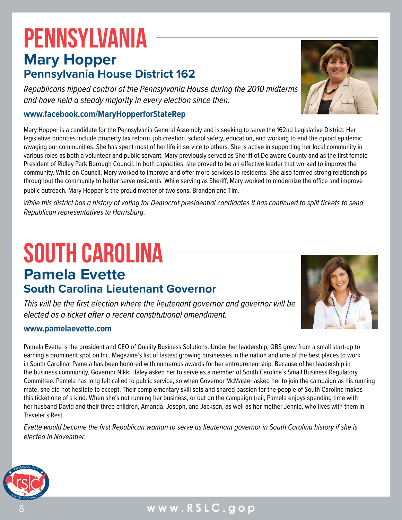# **Mary Hopper Pennsylvania House District 162** PENNSYLVANIA

*Republicans flipped control of the Pennsylvania House during the 2010 midterms and have held a steady majority in every election since then.*

#### **[www.facebook.com/MaryHopperforStateRep](https://www.facebook.com/MaryHopperforStateRep/)**

Mary Hopper is a candidate for the Pennsylvania General Assembly and is seeking to serve the 162nd Legislative District. Her legislative priorities include property tax reform, job creation, school safety, education, and working to end the opioid epidemic ravaging our communities. She has spent most of her life in service to others. She is active in supporting her local community in various roles as both a volunteer and public servant. Mary previously served as Sheriff of Delaware County and as the first female President of Ridley Park Borough Council. In both capacities, she proved to be an effective leader that worked to improve the community. While on Council, Mary worked to improve and offer more services to residents. She also formed strong relationships throughout the community to better serve residents. While serving as Sheriff, Mary worked to modernize the office and improve public outreach. Mary Hopper is the proud mother of two sons, Brandon and Tim.

*While this district has a history of voting for Democrat presidential candidates it has continued to split tickets to send Republican representatives to Harrisburg.* 

# **Pamela Evette South Carolina Lieutenant Governor** SOUTH CAROLINA

*This will be the first election where the lieutenant governor and governor will be elected as a ticket after a recent constitutional amendment.*

#### **[www.pamelaevette.com](https://www.pamelaevette.com/)**

Pamela Evette is the president and CEO of Quality Business Solutions. Under her leadership, QBS grew from a small start-up to earning a prominent spot on Inc. Magazine's list of fastest growing businesses in the nation and one of the best places to work in South Carolina. Pamela has been honored with numerous awards for her entrepreneurship. Because of her leadership in the business community, Governor Nikki Haley asked her to serve as a member of South Carolina's Small Business Regulatory Committee. Pamela has long felt called to public service, so when Governor McMaster asked her to join the campaign as his running mate, she did not hesitate to accept. Their complementary skill sets and shared passion for the people of South Carolina makes this ticket one of a kind. When she's not running her business, or out on the campaign trail, Pamela enjoys spending time with her husband David and their three children, Amanda, Joseph, and Jackson, as well as her mother Jennie, who lives with them in Traveler's Rest.

*Evette would become the first Republican woman to serve as lieutenant governor in South Carolina history if she is elected in November.*





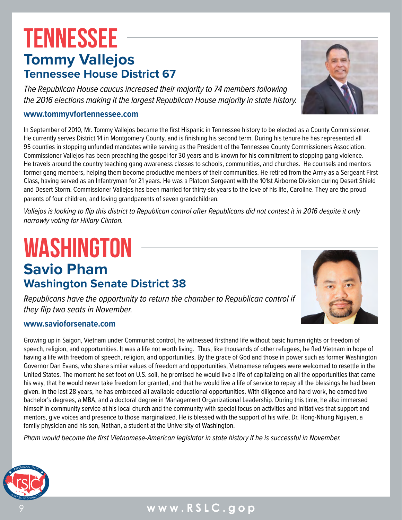# **Tommy Vallejos Tennessee House District 67 TENNESSEE**

*The Republican House caucus increased their majority to 74 members following the 2016 elections making it the largest Republican House majority in state history.* 

#### **[www.tommyvfortennessee.com](https://www.tommyvfortennessee.com/)**

In September of 2010, Mr. Tommy Vallejos became the first Hispanic in Tennessee history to be elected as a County Commissioner. He currently serves District 14 in Montgomery County, and is finishing his second term. During his tenure he has represented all 95 counties in stopping unfunded mandates while serving as the President of the Tennessee County Commissioners Association. Commissioner Vallejos has been preaching the gospel for 30 years and is known for his commitment to stopping gang violence. He travels around the country teaching gang awareness classes to schools, communities, and churches. He counsels and mentors former gang members, helping them become productive members of their communities. He retired from the Army as a Sergeant First Class, having served as an Infantryman for 21 years. He was a Platoon Sergeant with the 101st Airborne Division during Desert Shield and Desert Storm. Commissioner Vallejos has been married for thirty-six years to the love of his life, Caroline. They are the proud parents of four children, and loving grandparents of seven grandchildren.

*Vallejos is looking to flip this district to Republican control after Republicans did not contest it in 2016 despite it only narrowly voting for Hillary Clinton.*

# **Savio Pham Washington Senate District 38** WASHINGTON

*Republicans have the opportunity to return the chamber to Republican control if they flip two seats in November.* 

#### **[www.savioforsenate.com](https://www.savioforsenate.com/)**

Growing up in Saigon, Vietnam under Communist control, he witnessed firsthand life without basic human rights or freedom of speech, religion, and opportunities. It was a life not worth living. Thus, like thousands of other refugees, he fled Vietnam in hope of having a life with freedom of speech, religion, and opportunities. By the grace of God and those in power such as former Washington Governor Dan Evans, who share similar values of freedom and opportunities, Vietnamese refugees were welcomed to resettle in the United States. The moment he set foot on U.S. soil, he promised he would live a life of capitalizing on all the opportunities that came his way, that he would never take freedom for granted, and that he would live a life of service to repay all the blessings he had been given. In the last 28 years, he has embraced all available educational opportunities. With diligence and hard work, he earned two bachelor's degrees, a MBA, and a doctoral degree in Management Organizational Leadership. During this time, he also immersed himself in community service at his local church and the community with special focus on activities and initiatives that support and mentors, give voices and presence to those marginalized. He is blessed with the support of his wife, Dr. Hong-Nhung Nguyen, a family physician and his son, Nathan, a student at the University of Washington.

*Pham would become the first Vietnamese-American legislator in state history if he is successful in November.*